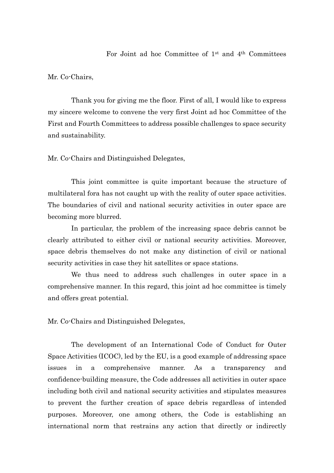Mr. Co-Chairs,

Thank you for giving me the floor. First of all, I would like to express my sincere welcome to convene the very first Joint ad hoc Committee of the First and Fourth Committees to address possible challenges to space security and sustainability.

Mr. Co-Chairs and Distinguished Delegates,

This joint committee is quite important because the structure of multilateral fora has not caught up with the reality of outer space activities. The boundaries of civil and national security activities in outer space are becoming more blurred.

In particular, the problem of the increasing space debris cannot be clearly attributed to either civil or national security activities. Moreover, space debris themselves do not make any distinction of civil or national security activities in case they hit satellites or space stations.

We thus need to address such challenges in outer space in a comprehensive manner. In this regard, this joint ad hoc committee is timely and offers great potential.

Mr. Co-Chairs and Distinguished Delegates,

The development of an International Code of Conduct for Outer Space Activities (ICOC), led by the EU, is a good example of addressing space issues in a comprehensive manner. As a transparency and confidence-building measure, the Code addresses all activities in outer space including both civil and national security activities and stipulates measures to prevent the further creation of space debris regardless of intended purposes. Moreover, one among others, the Code is establishing an international norm that restrains any action that directly or indirectly